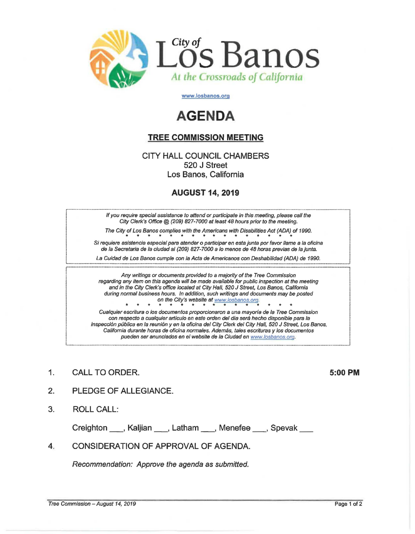

www.losbanos.org

## **AGENDA**

## **TREE COMMISSION MEETING**

**CITY HALL COUNCIL CHAMBERS** 520 J Street Los Banos, California

## **AUGUST 14, 2019**

If you require special assistance to attend or participate in this meeting, please call the City Clerk's Office @ (209) 827-7000 at least 48 hours prior to the meeting.

The City of Los Banos complies with the Americans with Disabilities Act (ADA) of 1990.

Si requiere asistencia especial para atender o participar en esta junta por favor llame a la oficina de la Secretaria de la ciudad al (209) 827-7000 a lo menos de 48 horas previas de la junta.

La Cuidad de Los Banos cumple con la Acta de Americanos con Deshabilidad (ADA) de 1990.

Any writings or documents provided to a majority of the Tree Commission regarding any item on this agenda will be made available for public inspection at the meeting and in the City Clerk's office located at City Hall, 520 J Street, Los Banos, California during normal business hours. In addition, such writings and documents may be posted on the City's website at www.losbanos.org.

Cualquier escritura o los documentos proporcionaron a una mayoría de la Tree Commission con respecto a cualquier artículo en este orden del día será hecho disponible para la inspección pública en la reunión y en la oficina del City Clerk del City Hall, 520 J Street, Los Banos, California durante horas de oficina normales. Además, tales escrituras y los documentos pueden ser anunciados en el website de la Ciudad en www.losbanos.org.

CALL TO ORDER. 1.

5:00 PM

- $\overline{2}$ . PLEDGE OF ALLEGIANCE.
- 3. **ROLL CALL:**

Creighton \_\_\_, Kaljian \_\_\_, Latham \_\_\_, Menefee \_\_\_, Spevak \_\_\_

 $\mathbf{A}$ CONSIDERATION OF APPROVAL OF AGENDA.

Recommendation: Approve the agenda as submitted.